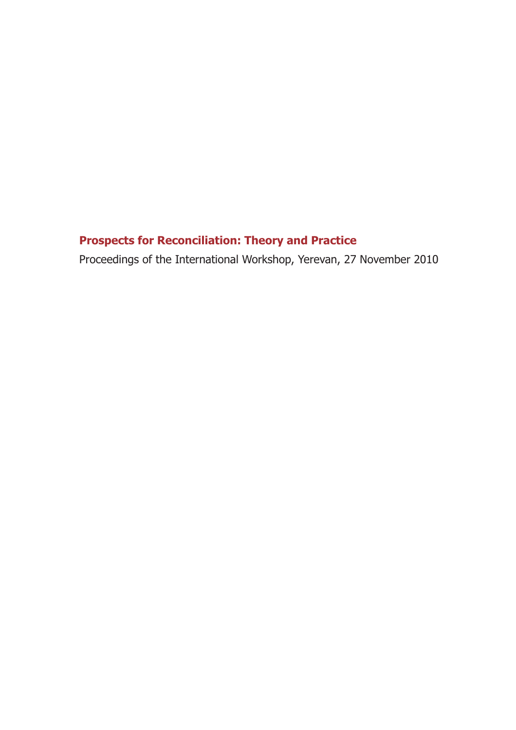## **Prospects for Reconciliation: Theory and Practice**

Proceedings of the International Workshop, Yerevan, 27 November 2010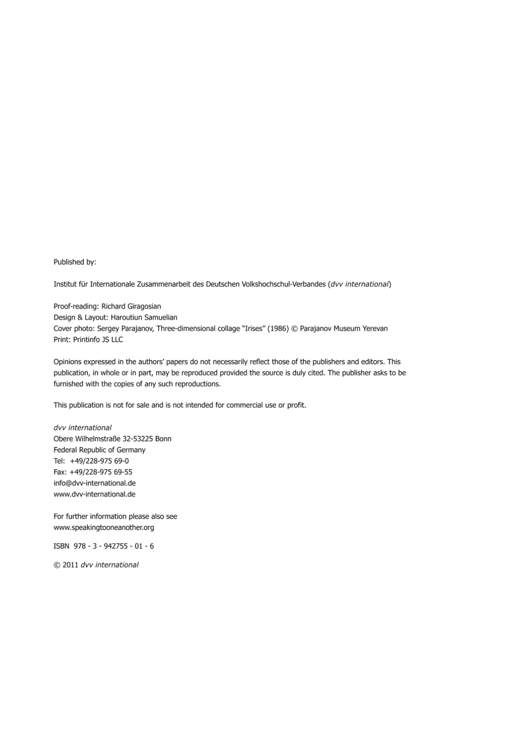Published by:

Institut für Internationale Zusammenarbeit des Deutschen Volkshochschul-Verbandes (dvv international)

Proof-reading: Richard Giragosian Design & Layout: Haroutiun Samuelian Cover photo: Sergey Parajanov, Three-dimensional collage "Irises" (1986) © Parajanov Museum Yerevan Print: Printinfo JS LLC

Opinions expressed in the authors' papers do not necessarily reflect those of the publishers and editors. This publication, in whole or in part, may be reproduced provided the source is duly cited. The publisher asks to be furnished with the copies of any such reproductions.

This publication is not for sale and is not intended for commercial use or profit.

dvv international Obere Wilhelmstraße 32-53225 Bonn Federal Republic of Germany Tel: +49/228-975 69-0 Fax: +49/228-975 69-55 info@dvv-international.de www.dvv-international.de

For further information please also see www.speakingtooneanother.org

ISBN 978-3-942755-01-6

© 2011 dvv international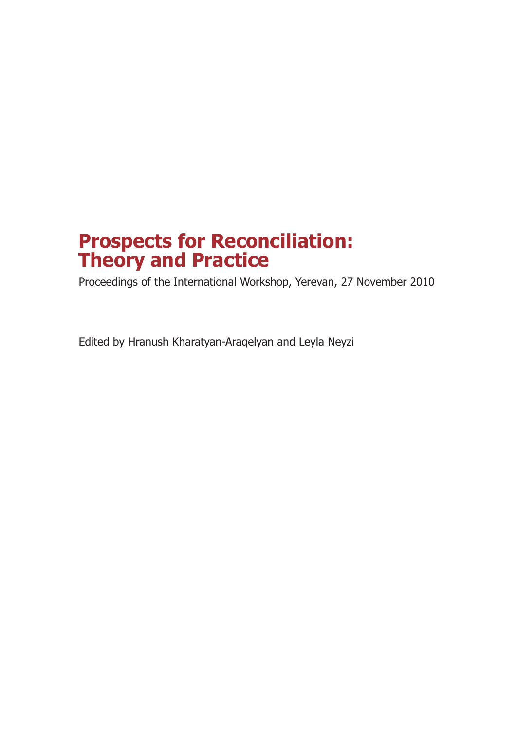# **Prospects for Reconciliation: Theory and Practice**

Proceedings of the International Workshop, Yerevan, 27 November 2010

Edited by Hranush Kharatyan-Araqelyan and Leyla Neyzi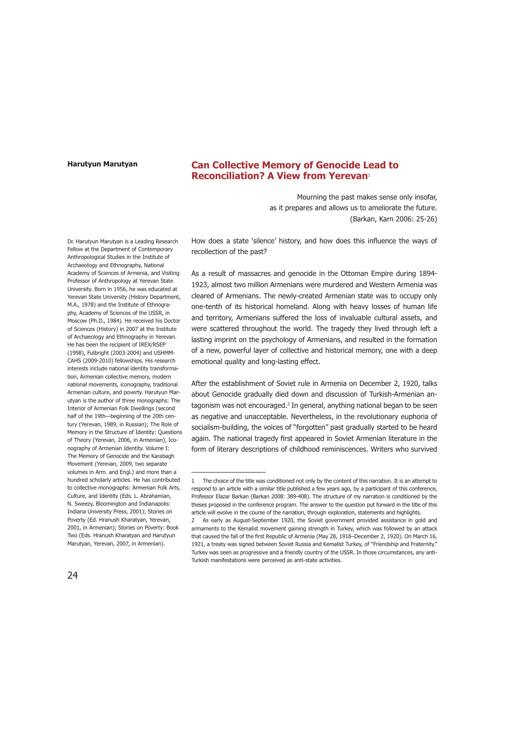### **Can Collective Memory of Genocide Lead to Reconciliation? A View from Yerevan**<sup>1</sup>

Mourning the past makes sense only insofar, as it prepares and allows us to ameliorate the future. (Barkan, Karn 2006: 25-26)

Dr. Harutyun Marutyan is a Leading Research Fellow at the Department of Contemporary Anthropological Studies in the Institute of Archaeology and Ethnography, National Academy of Sciences of Armenia, and Visiting Professor of Anthropology at Yerevan State University. Born in 1956, he was educated at Yerevan State University (History Department, M.A., 1978) and the Institute of Ethnography, Academy of Sciences of the USSR, in Moscow (Ph.D., 1984). He received his Doctor of Sciences (History) in 2007 at the Institute of Archaeology and Ethnography in Yerevan. He has been the recipient of IREX/RSEP (1998), Fulbright (2003-2004) and USHMM-CAHS (2009-2010) fellowships. His research interests include national identity transformation, Armenian collective memory, modern national movements, iconography, traditional Armenian culture, and poverty. Harutyun Marutyan is the author of three monographs: The Interior of Armenian Folk Dwellings (second half of the 19th—beginning of the 20th century (Yerevan, 1989, in Russian); The Role of Memory in the Structure of Identity: Questions of Theory (Yerevan, 2006, in Armenian), Iconography of Armenian Identity. Volume I: The Memory of Genocide and the Karabagh Movement (Yerevan, 2009, two separate volumes in Arm. and Engl.) and more than a hundred scholarly articles. He has contributed to collective monographs: Armenian Folk Arts, Culture, and Identity (Eds. L. Abrahamian, N. Sweezy, Bloomington and Indianapolis: Indiana University Press, 2001); Stories on Poverty (Ed. Hranush Kharatyan, Yerevan, 2001, in Armenian); Stories on Poverty: Book Two (Eds. Hranush Kharatyan and Harutyun Marutyan, Yerevan, 2007, in Armenian).

How does a state 'silence' history, and how does this influence the ways of recollection of the past?

As a result of massacres and genocide in the Ottoman Empire during 1894- 1923, almost two million Armenians were murdered and Western Armenia was cleared of Armenians. The newly-created Armenian state was to occupy only one-tenth of its historical homeland. Along with heavy losses of human life and territory, Armenians suffered the loss of invaluable cultural assets, and were scattered throughout the world. The tragedy they lived through left a lasting imprint on the psychology of Armenians, and resulted in the formation of a new, powerful layer of collective and historical memory, one with a deep emotional quality and long-lasting effect.

After the establishment of Soviet rule in Armenia on December 2, 1920, talks about Genocide gradually died down and discussion of Turkish-Armenian antagonism was not encouraged.<sup>2</sup> In general, anything national began to be seen as negative and unacceptable. Nevertheless, in the revolutionary euphoria of socialism-building, the voices of "forgotten" past gradually started to be heard again. The national tragedy first appeared in Soviet Armenian literature in the form of literary descriptions of childhood reminiscences. Writers who survived

<sup>1</sup> The choice of the title was conditioned not only by the content of this narration. It is an attempt to respond to an article with a similar title published a few years ago, by a participant of this conference, Professor Elazar Barkan (Barkan 2008: 389-408). The structure of my narration is conditioned by the theses proposed in the conference program. The answer to the question put forward in the title of this article will evolve in the course of the narration, through exploration, statements and highlights.

As early as August-September 1920, the Soviet government provided assistance in gold and armaments to the Kemalist movement gaining strength in Turkey, which was followed by an attack that caused the fall of the first Republic of Armenia (May 28, 1918–December 2, 1920). On March 16, 1921, a treaty was signed between Soviet Russia and Kemalist Turkey, of "Friendship and Fraternity." Turkey was seen as progressive and a friendly country of the USSR. In those circumstances, any anti-Turkish manifestations were perceived as anti-state activities.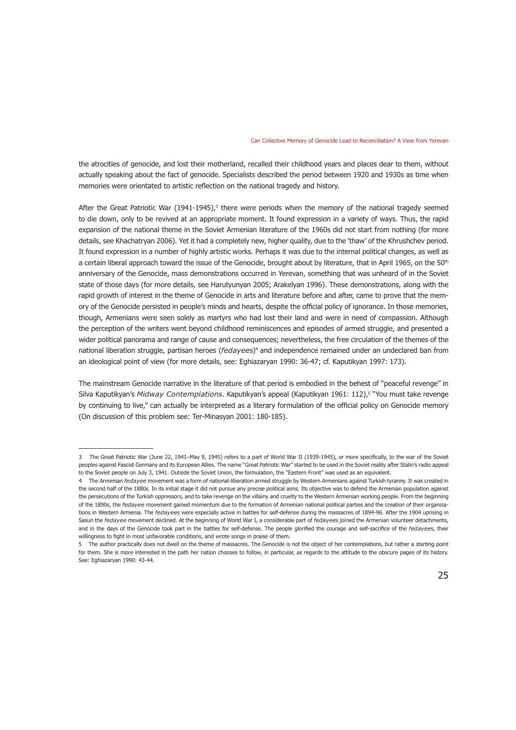the atrocities of genocide, and lost their motherland, recalled their childhood years and places dear to them, without actually speaking about the fact of genocide. Specialists described the period between 1920 and 1930s as time when memories were orientated to artistic reflection on the national tragedy and history.

After the Great Patriotic War (1941-1945),<sup>3</sup> there were periods when the memory of the national tragedy seemed to die down, only to be revived at an appropriate moment. It found expression in a variety of ways. Thus, the rapid expansion of the national theme in the Soviet Armenian literature of the 1960s did not start from nothing (for more details, see Khachatryan 2006). Yet it had a completely new, higher quality, due to the 'thaw' of the Khrushchev period. It found expression in a number of highly artistic works. Perhaps it was due to the internal political changes, as well as a certain liberal approach toward the issue of the Genocide, brought about by literature, that in April 1965, on the 50<sup>th</sup> anniversary of the Genocide, mass demonstrations occurred in Yerevan, something that was unheard of in the Soviet state of those days (for more details, see Harutyunyan 2005; Arakelyan 1996). These demonstrations, along with the rapid growth of interest in the theme of Genocide in arts and literature before and after, came to prove that the memory of the Genocide persisted in people's minds and hearts, despite the official policy of ignorance. In those memories, though, Armenians were seen solely as martyrs who had lost their land and were in need of compassion. Although the perception of the writers went beyond childhood reminiscences and episodes of armed struggle, and presented a wider political panorama and range of cause and consequences; nevertheless, the free circulation of the themes of the national liberation struggle, partisan heroes (*fedayee*s)<sup>4</sup> and independence remained under an undeclared ban from an ideological point of view (for more details, see: Eghiazaryan 1990: 36-47; cf. Kaputikyan 1997: 173).

The mainstream Genocide narrative in the literature of that period is embodied in the behest of "peaceful revenge" in Silva Kaputikyan's *Midway Contemplations*. Kaputikyan's appeal (Kaputikyan 1961: 112),5 "You must take revenge by continuing to live," can actually be interpreted as a literary formulation of the official policy on Genocide memory (On discussion of this problem see: Ter-Minasyan 2001: 180-185).

<sup>3</sup> The Great Patriotic War (June 22, 1941–May 9, 1945) refers to a part of World War II (1939-1945), or more specifically, to the war of the Soviet peoples against Fascist Germany and its European Allies. The name "Great Patriotic War" started to be used in the Soviet reality after Stalin's radio appeal to the Soviet people on July 3, 1941. Outside the Soviet Union, the formulation, the "Eastern Front" was used as an equivalent.

<sup>4</sup> The Armenian *fedayee* movement was a form of national-liberation armed struggle by Western Armenians against Turkish tyranny. It was created in the second half of the 1880s. In its initial stage it did not pursue any precise political aims. Its objective was to defend the Armenian population against the persecutions of the Turkish oppressors, and to take revenge on the villainy and cruelty to the Western Armenian working people. From the beginning of the 1890s, the *fedayee* movement gained momentum due to the formation of Armenian national political parties and the creation of their organizations in Western Armenia. The *fedayee*s were especially active in battles for self-defense during the massacres of 1894-96. After the 1904 uprising in Sasun the *fedayee* movement declined. At the beginning of World War I, a considerable part of *fedayee*s joined the Armenian volunteer detachments, and in the days of the Genocide took part in the battles for self-defense. The people glorified the courage and self-sacrifice of the *fedayee*s, their willingness to fight in most unfavorable conditions, and wrote songs in praise of them.

<sup>5</sup> The author practically does not dwell on the theme of massacres. The Genocide is not the object of her contemplations, but rather a starting point for them. She is more interested in the path her nation chooses to follow, in particular, as regards to the attitude to the obscure pages of its history. See: Eghiazaryan 1990: 43-44.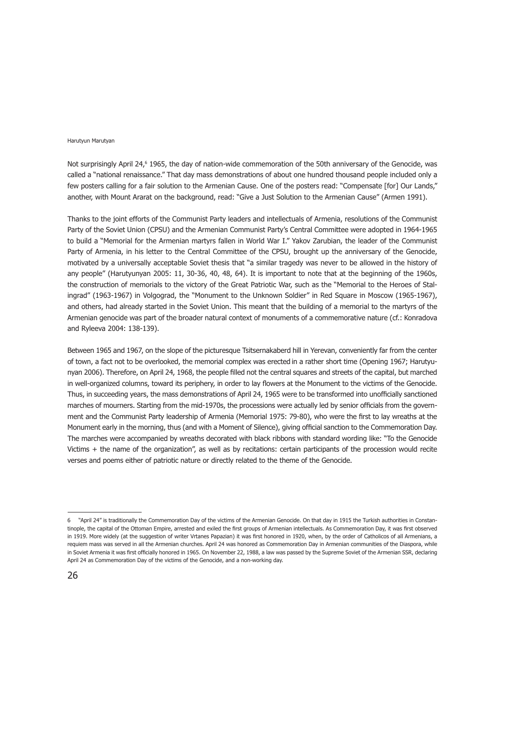Not surprisingly April 24,<sup>6</sup> 1965, the day of nation-wide commemoration of the 50th anniversary of the Genocide, was called a "national renaissance." That day mass demonstrations of about one hundred thousand people included only a few posters calling for a fair solution to the Armenian Cause. One of the posters read: "Compensate [for] Our Lands," another, with Mount Ararat on the background, read: "Give a Just Solution to the Armenian Cause" (Armen 1991).

Thanks to the joint efforts of the Communist Party leaders and intellectuals of Armenia, resolutions of the Communist Party of the Soviet Union (CPSU) and the Armenian Communist Party's Central Committee were adopted in 1964-1965 to build a "Memorial for the Armenian martyrs fallen in World War I." Yakov Zarubian, the leader of the Communist Party of Armenia, in his letter to the Central Committee of the CPSU, brought up the anniversary of the Genocide, motivated by a universally acceptable Soviet thesis that "a similar tragedy was never to be allowed in the history of any people" (Harutyunyan 2005: 11, 30-36, 40, 48, 64). It is important to note that at the beginning of the 1960s, the construction of memorials to the victory of the Great Patriotic War, such as the "Memorial to the Heroes of Stalingrad" (1963-1967) in Volgograd, the "Monument to the Unknown Soldier" in Red Square in Moscow (1965-1967), and others, had already started in the Soviet Union. This meant that the building of a memorial to the martyrs of the Armenian genocide was part of the broader natural context of monuments of a commemorative nature (cf.: Konradova and Ryleeva 2004: 138-139).

Between 1965 and 1967, on the slope of the picturesque Tsitsernakaberd hill in Yerevan, conveniently far from the center of town, a fact not to be overlooked, the memorial complex was erected in a rather short time (Opening 1967; Harutyunyan 2006). Therefore, on April 24, 1968, the people filled not the central squares and streets of the capital, but marched in well-organized columns, toward its periphery, in order to lay flowers at the Monument to the victims of the Genocide. Thus, in succeeding years, the mass demonstrations of April 24, 1965 were to be transformed into unofficially sanctioned marches of mourners. Starting from the mid-1970s, the processions were actually led by senior officials from the government and the Communist Party leadership of Armenia (Memorial 1975: 79-80), who were the first to lay wreaths at the Monument early in the morning, thus (and with a Moment of Silence), giving official sanction to the Commemoration Day. The marches were accompanied by wreaths decorated with black ribbons with standard wording like: "To the Genocide Victims + the name of the organization", as well as by recitations: certain participants of the procession would recite verses and poems either of patriotic nature or directly related to the theme of the Genocide.

<sup>6 &</sup>quot;April 24" is traditionally the Commemoration Day of the victims of the Armenian Genocide. On that day in 1915 the Turkish authorities in Constantinople, the capital of the Ottoman Empire, arrested and exiled the first groups of Armenian intellectuals. As Commemoration Day, it was first observed in 1919. More widely (at the suggestion of writer Vrtanes Papazian) it was first honored in 1920, when, by the order of Catholicos of all Armenians, a requiem mass was served in all the Armenian churches. April 24 was honored as Commemoration Day in Armenian communities of the Diaspora, while in Soviet Armenia it was first officially honored in 1965. On November 22, 1988, a law was passed by the Supreme Soviet of the Armenian SSR, declaring April 24 as Commemoration Day of the victims of the Genocide, and a non-working day.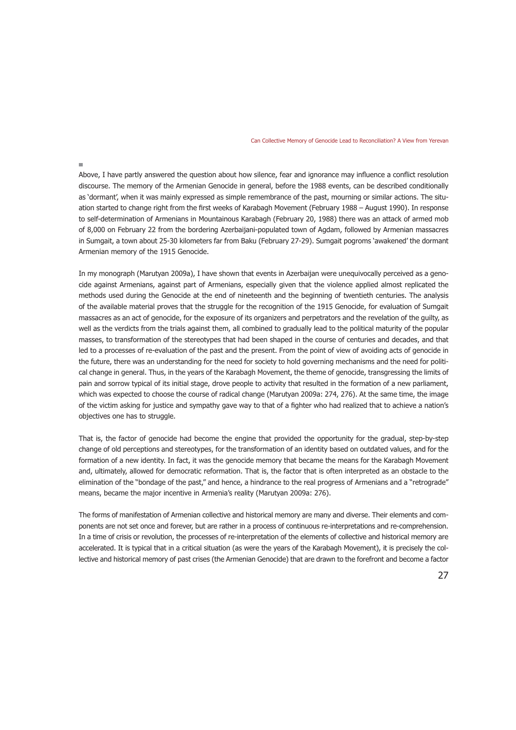Above, I have partly answered the question about how silence, fear and ignorance may influence a conflict resolution discourse. The memory of the Armenian Genocide in general, before the 1988 events, can be described conditionally as 'dormant', when it was mainly expressed as simple remembrance of the past, mourning or similar actions. The situation started to change right from the first weeks of Karabagh Movement (February 1988 – August 1990). In response to self-determination of Armenians in Mountainous Karabagh (February 20, 1988) there was an attack of armed mob of 8,000 on February 22 from the bordering Azerbaijani-populated town of Agdam, followed by Armenian massacres in Sumgait, a town about 25-30 kilometers far from Baku (February 27-29). Sumgait pogroms 'awakened' the dormant Armenian memory of the 1915 Genocide.

In my monograph (Marutyan 2009a), I have shown that events in Azerbaijan were unequivocally perceived as a genocide against Armenians, against part of Armenians, especially given that the violence applied almost replicated the methods used during the Genocide at the end of nineteenth and the beginning of twentieth centuries. The analysis of the available material proves that the struggle for the recognition of the 1915 Genocide, for evaluation of Sumgait massacres as an act of genocide, for the exposure of its organizers and perpetrators and the revelation of the guilty, as well as the verdicts from the trials against them, all combined to gradually lead to the political maturity of the popular masses, to transformation of the stereotypes that had been shaped in the course of centuries and decades, and that led to a processes of re-evaluation of the past and the present. From the point of view of avoiding acts of genocide in the future, there was an understanding for the need for society to hold governing mechanisms and the need for political change in general. Thus, in the years of the Karabagh Movement, the theme of genocide, transgressing the limits of pain and sorrow typical of its initial stage, drove people to activity that resulted in the formation of a new parliament, which was expected to choose the course of radical change (Marutyan 2009a: 274, 276). At the same time, the image of the victim asking for justice and sympathy gave way to that of a fighter who had realized that to achieve a nation's objectives one has to struggle.

That is, the factor of genocide had become the engine that provided the opportunity for the gradual, step-by-step change of old perceptions and stereotypes, for the transformation of an identity based on outdated values, and for the formation of a new identity. In fact, it was the genocide memory that became the means for the Karabagh Movement and, ultimately, allowed for democratic reformation. That is, the factor that is often interpreted as an obstacle to the elimination of the "bondage of the past," and hence, a hindrance to the real progress of Armenians and a "retrograde" means, became the major incentive in Armenia's reality (Marutyan 2009a: 276).

The forms of manifestation of Armenian collective and historical memory are many and diverse. Their elements and components are not set once and forever, but are rather in a process of continuous re-interpretations and re-comprehension. In a time of crisis or revolution, the processes of re-interpretation of the elements of collective and historical memory are accelerated. It is typical that in a critical situation (as were the years of the Karabagh Movement), it is precisely the collective and historical memory of past crises (the Armenian Genocide) that are drawn to the forefront and become a factor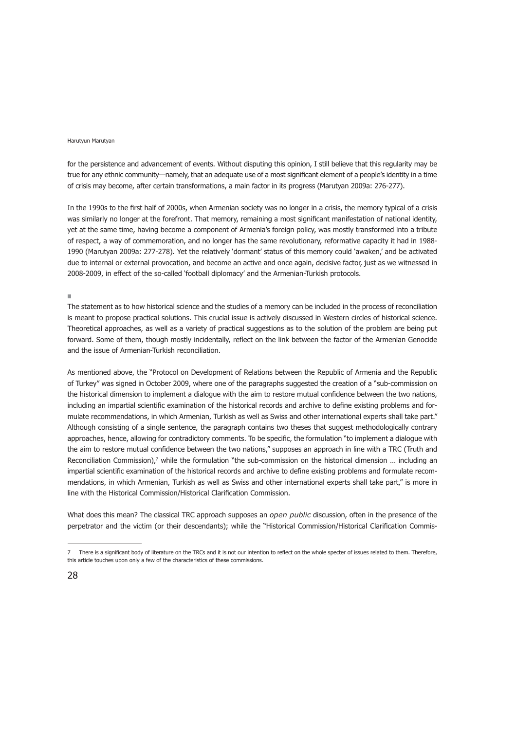for the persistence and advancement of events. Without disputing this opinion, I still believe that this regularity may be true for any ethnic community—namely, that an adequate use of a most significant element of a people's identity in a time of crisis may become, after certain transformations, a main factor in its progress (Marutyan 2009a: 276-277).

In the 1990s to the first half of 2000s, when Armenian society was no longer in a crisis, the memory typical of a crisis was similarly no longer at the forefront. That memory, remaining a most significant manifestation of national identity, yet at the same time, having become a component of Armenia's foreign policy, was mostly transformed into a tribute of respect, a way of commemoration, and no longer has the same revolutionary, reformative capacity it had in 1988- 1990 (Marutyan 2009a: 277-278). Yet the relatively 'dormant' status of this memory could 'awaken,' and be activated due to internal or external provocation, and become an active and once again, decisive factor, just as we witnessed in 2008-2009, in effect of the so-called 'football diplomacy' and the Armenian-Turkish protocols.

#### $\mathbf{r}$

The statement as to how historical science and the studies of a memory can be included in the process of reconciliation is meant to propose practical solutions. This crucial issue is actively discussed in Western circles of historical science. Theoretical approaches, as well as a variety of practical suggestions as to the solution of the problem are being put forward. Some of them, though mostly incidentally, reflect on the link between the factor of the Armenian Genocide and the issue of Armenian-Turkish reconciliation.

As mentioned above, the "Protocol on Development of Relations between the Republic of Armenia and the Republic of Turkey" was signed in October 2009, where one of the paragraphs suggested the creation of a "sub-commission on the historical dimension to implement a dialogue with the aim to restore mutual confidence between the two nations, including an impartial scientific examination of the historical records and archive to define existing problems and formulate recommendations, in which Armenian, Turkish as well as Swiss and other international experts shall take part." Although consisting of a single sentence, the paragraph contains two theses that suggest methodologically contrary approaches, hence, allowing for contradictory comments. To be specific, the formulation "to implement a dialogue with the aim to restore mutual confidence between the two nations," supposes an approach in line with a TRC (Truth and Reconciliation Commission),<sup>7</sup> while the formulation "the sub-commission on the historical dimension ... including an impartial scientific examination of the historical records and archive to define existing problems and formulate recommendations, in which Armenian, Turkish as well as Swiss and other international experts shall take part," is more in line with the Historical Commission/Historical Clarification Commission.

What does this mean? The classical TRC approach supposes an *open public* discussion, often in the presence of the perpetrator and the victim (or their descendants); while the "Historical Commission/Historical Clarification Commis-

<sup>7</sup> There is a significant body of literature on the TRCs and it is not our intention to reflect on the whole specter of issues related to them. Therefore, this article touches upon only a few of the characteristics of these commissions.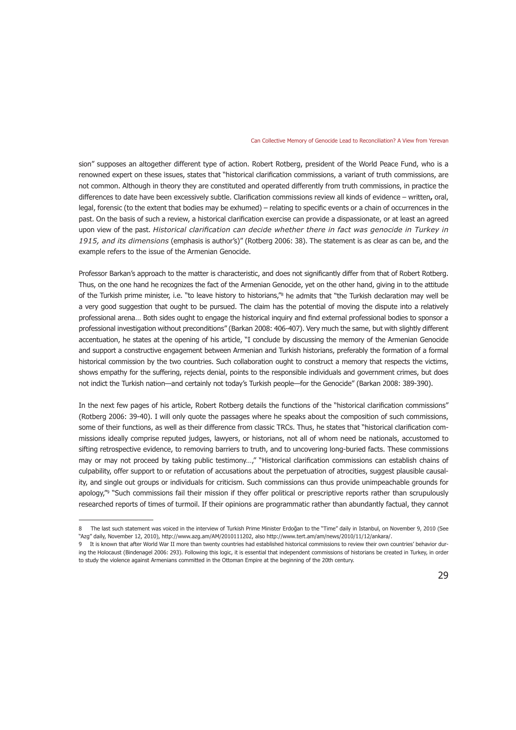sion" supposes an altogether different type of action. Robert Rotberg, president of the World Peace Fund, who is a renowned expert on these issues, states that "historical clarification commissions, a variant of truth commissions, are not common. Although in theory they are constituted and operated differently from truth commissions, in practice the differences to date have been excessively subtle. Clarification commissions review all kinds of evidence – written**,** oral, legal, forensic (to the extent that bodies may be exhumed) – relating to specific events or a chain of occurrences in the past. On the basis of such a review, a historical clarification exercise can provide a dispassionate, or at least an agreed upon view of the past. *Historical clarification can decide whether there in fact was genocide in Turkey in 1915, and its dimensions* (emphasis is author's)" (Rotberg 2006: 38). The statement is as clear as can be, and the example refers to the issue of the Armenian Genocide.

Professor Barkan's approach to the matter is characteristic, and does not significantly differ from that of Robert Rotberg. Thus, on the one hand he recognizes the fact of the Armenian Genocide, yet on the other hand, giving in to the attitude of the Turkish prime minister, i.e. "to leave history to historians,"<sup>8</sup> he admits that "the Turkish declaration may well be a very good suggestion that ought to be pursued. The claim has the potential of moving the dispute into a relatively professional arena… Both sides ought to engage the historical inquiry and find external professional bodies to sponsor a professional investigation without preconditions" (Barkan 2008: 406-407). Very much the same, but with slightly different accentuation, he states at the opening of his article, "I conclude by discussing the memory of the Armenian Genocide and support a constructive engagement between Armenian and Turkish historians, preferably the formation of a formal historical commission by the two countries. Such collaboration ought to construct a memory that respects the victims, shows empathy for the suffering, rejects denial, points to the responsible individuals and government crimes, but does not indict the Turkish nation—and certainly not today's Turkish people—for the Genocide" (Barkan 2008: 389-390).

In the next few pages of his article, Robert Rotberg details the functions of the "historical clarification commissions" (Rotberg 2006: 39-40). I will only quote the passages where he speaks about the composition of such commissions, some of their functions, as well as their difference from classic TRCs. Thus, he states that "historical clarification commissions ideally comprise reputed judges, lawyers, or historians, not all of whom need be nationals, accustomed to sifting retrospective evidence, to removing barriers to truth, and to uncovering long-buried facts. These commissions may or may not proceed by taking public testimony…," "Historical clarification commissions can establish chains of culpability, offer support to or refutation of accusations about the perpetuation of atrocities, suggest plausible causality, and single out groups or individuals for criticism. Such commissions can thus provide unimpeachable grounds for apology,"9 "Such commissions fail their mission if they offer political or prescriptive reports rather than scrupulously researched reports of times of turmoil. If their opinions are programmatic rather than abundantly factual, they cannot

<sup>8</sup> The last such statement was voiced in the interview of Turkish Prime Minister Erdoğan to the "Time" daily in Istanbul, on November 9, 2010 (See "Azg" daily, November 12, 2010), http://www.azg.am/AM/2010111202, also http://www.tert.am/am/news/2010/11/12/ankara/.

<sup>9</sup> It is known that after World War II more than twenty countries had established historical commissions to review their own countries' behavior during the Holocaust (Bindenagel 2006: 293). Following this logic, it is essential that independent commissions of historians be created in Turkey, in order to study the violence against Armenians committed in the Ottoman Empire at the beginning of the 20th century.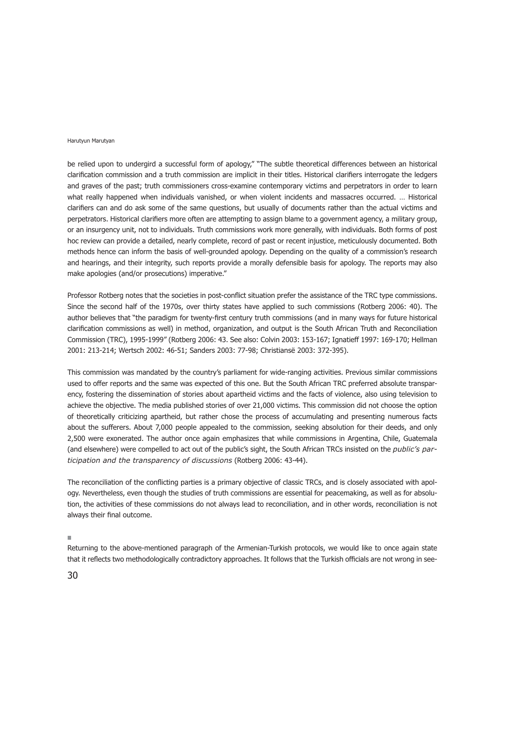be relied upon to undergird a successful form of apology," "The subtle theoretical differences between an historical clarification commission and a truth commission are implicit in their titles. Historical clarifiers interrogate the ledgers and graves of the past; truth commissioners cross-examine contemporary victims and perpetrators in order to learn what really happened when individuals vanished, or when violent incidents and massacres occurred. … Historical clarifiers can and do ask some of the same questions, but usually of documents rather than the actual victims and perpetrators. Historical clarifiers more often are attempting to assign blame to a government agency, a military group, or an insurgency unit, not to individuals. Truth commissions work more generally, with individuals. Both forms of post hoc review can provide a detailed, nearly complete, record of past or recent injustice, meticulously documented. Both methods hence can inform the basis of well-grounded apology. Depending on the quality of a commission's research and hearings, and their integrity, such reports provide a morally defensible basis for apology. The reports may also make apologies (and/or prosecutions) imperative."

Professor Rotberg notes that the societies in post-conflict situation prefer the assistance of the TRC type commissions. Since the second half of the 1970s, over thirty states have applied to such commissions (Rotberg 2006: 40). The author believes that "the paradigm for twenty-first century truth commissions (and in many ways for future historical clarification commissions as well) in method, organization, and output is the South African Truth and Reconciliation Com mis sion (TRC), 1995-1999" (Rotberg 2006: 43. See also: Colvin 2003: 153-167; Ignatieff 1997: 169-170; Hellman 2001: 213-214; Wertsch 2002: 46-51; Sanders 2003: 77-98; Christiansë 2003: 372-395).

This commission was mandated by the country's parliament for wide-ranging activities. Previous similar commissions used to offer reports and the same was expected of this one. But the South African TRC preferred absolute transparency, fostering the dissemination of stories about apartheid victims and the facts of violence, also using television to achieve the objective. The media published stories of over 21,000 victims. This commission did not choose the option of theoretically criticizing apartheid, but rather chose the process of accumulating and presenting numerous facts about the sufferers. About 7,000 people appealed to the commission, seeking absolution for their deeds, and only 2,500 were exonerated. The author once again emphasizes that while commissions in Argentina, Chile, Guatemala (and elsewhere) were compelled to act out of the public's sight, the South African TRCs insisted on the *public's participation and the transparency of discussions* (Rotberg 2006: 43-44).

The reconciliation of the conflicting parties is a primary objective of classic TRCs, and is closely associated with apology. Nevertheless, even though the studies of truth commissions are essential for peacemaking, as well as for absolution, the activities of these commissions do not always lead to reconciliation, and in other words, reconciliation is not always their final outcome.

#### $\mathbf{m}$

Returning to the above-mentioned paragraph of the Armenian-Turkish protocols, we would like to once again state that it reflects two methodologically contradictory approaches. It follows that the Turkish officials are not wrong in see-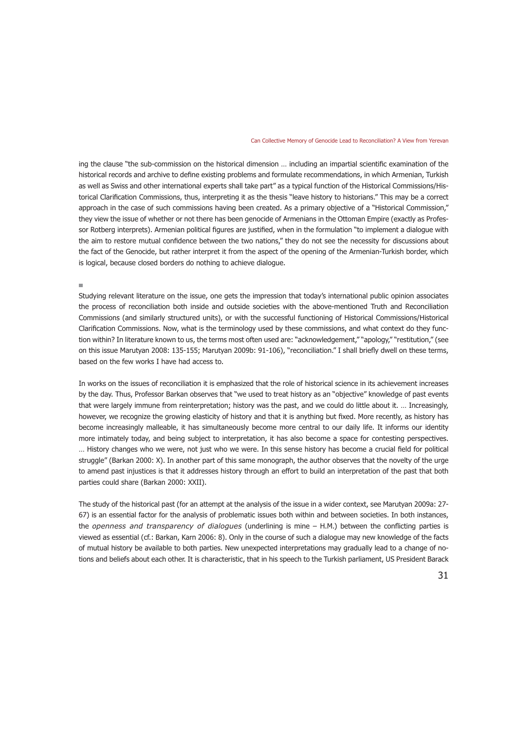ing the clause "the sub-commission on the historical dimension … including an impartial scientific examination of the historical records and archive to define existing problems and formulate recommendations, in which Armenian, Turkish as well as Swiss and other international experts shall take part" as a typical function of the Historical Commissions/Historical Clarification Commissions, thus, interpreting it as the thesis "leave history to historians." This may be a correct approach in the case of such commissions having been created. As a primary objective of a "Historical Commission," they view the issue of whether or not there has been genocide of Armenians in the Ottoman Empire (exactly as Professor Rotberg interprets). Armenian political figures are justified, when in the formulation "to implement a dialogue with the aim to restore mutual confidence between the two nations," they do not see the necessity for discussions about the fact of the Genocide, but rather interpret it from the aspect of the opening of the Armenian-Turkish border, which is logical, because closed borders do nothing to achieve dialogue.

Studying relevant literature on the issue, one gets the impression that today's international public opinion associates the process of reconciliation both inside and outside societies with the above-mentioned Truth and Reconciliation Commissions (and similarly structured units), or with the successful functioning of Historical Commissions/Historical Clarification Commissions. Now, what is the terminology used by these commissions, and what context do they function within? In literature known to us, the terms most often used are: "acknowledgement," "apology," "restitution," (see on this issue Marutyan 2008: 135-155; Marutyan 2009b: 91-106), "reconciliation." I shall briefly dwell on these terms, based on the few works I have had access to.

In works on the issues of reconciliation it is emphasized that the role of historical science in its achievement increases by the day. Thus, Professor Barkan observes that "we used to treat history as an "objective" knowledge of past events that were largely immune from reinterpretation; history was the past, and we could do little about it. … Increasingly, however, we recognize the growing elasticity of history and that it is anything but fixed. More recently, as history has become increasingly malleable, it has simultaneously become more central to our daily life. It informs our identity more intimately today, and being subject to interpretation, it has also become a space for contesting perspectives. … History changes who we were, not just who we were. In this sense history has become a crucial field for political struggle" (Barkan 2000: X). In another part of this same monograph, the author observes that the novelty of the urge to amend past injustices is that it addresses history through an effort to build an interpretation of the past that both parties could share (Barkan 2000: XXII).

The study of the historical past (for an attempt at the analysis of the issue in a wider context, see Marutyan 2009a: 27- 67) is an essential factor for the analysis of problematic issues both within and between societies. In both instances, the *openness and transparency of dialogues* (underlining is mine – H.M.) between the conflicting parties is viewed as essential (cf.: Barkan, Karn 2006: 8). Only in the course of such a dialogue may new knowledge of the facts of mutual history be available to both parties. New unexpected interpretations may gradually lead to a change of notions and beliefs about each other. It is characteristic, that in his speech to the Turkish parliament, US President Barack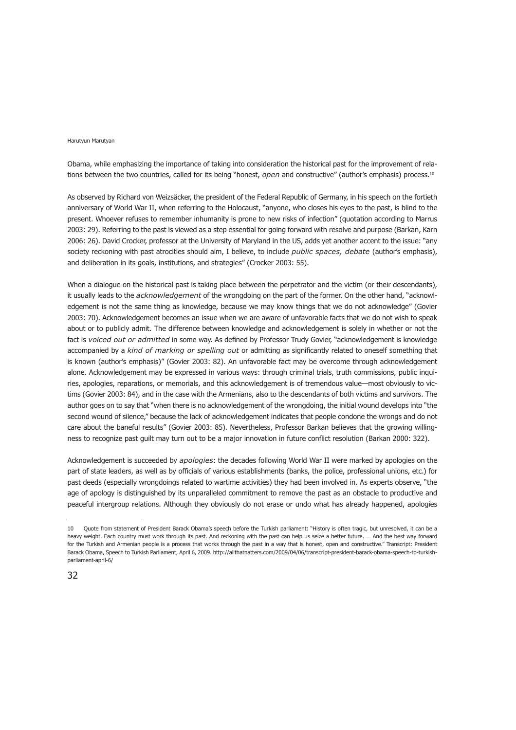Obama, while emphasizing the importance of taking into consideration the historical past for the improvement of relations between the two countries, called for its being "honest, *open* and constructive" (author's emphasis) process.10

As observed by Richard von Weizsäcker, the president of the Federal Republic of Germany, in his speech on the fortieth anniversary of World War II, when referring to the Holocaust, "anyone, who closes his eyes to the past, is blind to the present. Whoever refuses to remember inhumanity is prone to new risks of infection" (quotation according to Marrus 2003: 29). Referring to the past is viewed as a step essential for going forward with resolve and purpose (Barkan, Karn 2006: 26). David Crocker, professor at the University of Maryland in the US, adds yet another accent to the issue: "any society reckoning with past atrocities should aim, I believe, to include *public spaces, debate* (author's emphasis), and deliberation in its goals, institutions, and strategies" (Crocker 2003: 55).

When a dialogue on the historical past is taking place between the perpetrator and the victim (or their descendants), it usually leads to the *acknowledgement* of the wrongdoing on the part of the former. On the other hand, "acknowledgement is not the same thing as knowledge, because we may know things that we do not acknowledge" (Govier 2003: 70). Acknowledgement becomes an issue when we are aware of unfavorable facts that we do not wish to speak about or to publicly admit. The difference between knowledge and acknowledgement is solely in whether or not the fact is *voiced out or admitted* in some way. As defined by Professor Trudy Govier, "acknowledgement is knowledge accompanied by a *kind of marking or spelling out* or admitting as significantly related to oneself something that is known (author's emphasis)" (Govier 2003: 82). An unfavorable fact may be overcome through acknowledgement alone. Acknowledgement may be expressed in various ways: through criminal trials, truth commissions, public inquiries, apologies, reparations, or memorials, and this acknowledgement is of tremendous value—most obviously to victims (Govier 2003: 84), and in the case with the Armenians, also to the descendants of both victims and survivors. The author goes on to say that "when there is no acknowledgement of the wrongdoing, the initial wound develops into "the second wound of silence," because the lack of acknowledgement indicates that people condone the wrongs and do not care about the baneful results" (Govier 2003: 85). Nevertheless, Professor Barkan believes that the growing willingness to recognize past guilt may turn out to be a major innovation in future conflict resolution (Barkan 2000: 322).

Acknowledgement is succeeded by *apologies*: the decades following World War II were marked by apologies on the part of state leaders, as well as by officials of various establishments (banks, the police, professional unions, etc.) for past deeds (especially wrongdoings related to wartime activities) they had been involved in. As experts observe, "the age of apology is distinguished by its unparalleled commitment to remove the past as an obstacle to productive and peaceful intergroup relations. Although they obviously do not erase or undo what has already happened, apologies

<sup>10</sup> Quote from statement of President Barack Obama's speech before the Turkish parliament: "History is often tragic, but unresolved, it can be a heavy weight. Each country must work through its past. And reckoning with the past can help us seize a better future. … And the best way forward for the Turkish and Armenian people is a process that works through the past in a way that is honest, open and constructive." Transcript: President Barack Obama, Speech to Turkish Parliament, April 6, 2009. http://allthatnatters.com/2009/04/06/transcript-president-barack-obama-speech-to-turkishparliament-april-6/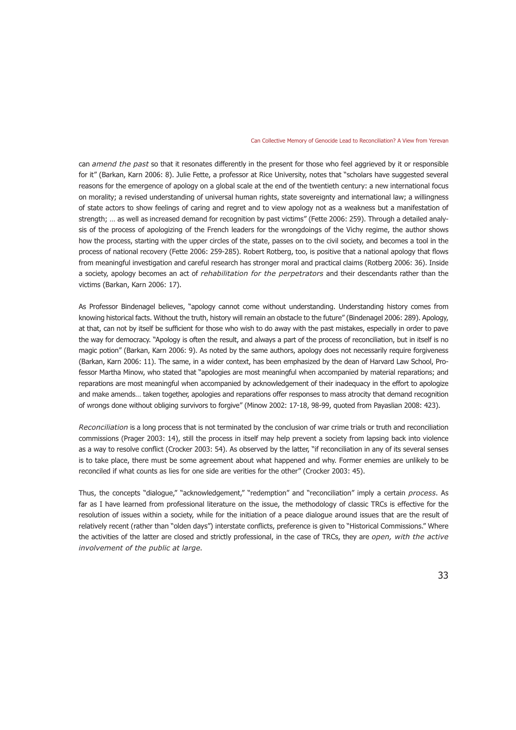can *amend the past* so that it resonates differently in the present for those who feel aggrieved by it or responsible for it" (Barkan, Karn 2006: 8). Julie Fette, a professor at Rice University, notes that "scholars have suggested several reasons for the emergence of apology on a global scale at the end of the twentieth century: a new international focus on morality; a revised understanding of universal human rights, state sovereignty and international law; a willingness of state actors to show feelings of caring and regret and to view apology not as a weakness but a manifestation of strength; … as well as increased demand for recognition by past victims" (Fette 2006: 259). Through a detailed analysis of the process of apologizing of the French leaders for the wrongdoings of the Vichy regime, the author shows how the process, starting with the upper circles of the state, passes on to the civil society, and becomes a tool in the process of national recovery (Fette 2006: 259-285). Robert Rotberg, too, is positive that a national apology that flows from meaningful investigation and careful research has stronger moral and practical claims (Rotberg 2006: 36). Inside a society, apology becomes an act of *rehabilitation for the perpetrators* and their descendants rather than the victims (Barkan, Karn 2006: 17).

As Professor Bindenagel believes, "apology cannot come without understanding. Understanding history comes from knowing historical facts. Without the truth, history will remain an obstacle to the future" (Bindenagel 2006: 289). Apology, at that, can not by itself be sufficient for those who wish to do away with the past mistakes, especially in order to pave the way for democracy. "Apology is often the result, and always a part of the process of reconciliation, but in itself is no magic potion" (Barkan, Karn 2006: 9). As noted by the same authors, apology does not necessarily require forgiveness (Barkan, Karn 2006: 11). The same, in a wider context, has been emphasized by the dean of Harvard Law School, Professor Martha Minow, who stated that "apologies are most meaningful when accompanied by material reparations; and reparations are most meaningful when accompanied by acknowledgement of their inadequacy in the effort to apologize and make amends… taken together, apologies and reparations offer responses to mass atrocity that demand recognition of wrongs done without obliging survivors to forgive" (Minow 2002: 17-18, 98-99, quoted from Payaslian 2008: 423).

*Reconciliation* is a long process that is not terminated by the conclusion of war crime trials or truth and reconciliation commissions (Prager 2003: 14), still the process in itself may help prevent a society from lapsing back into violence as a way to resolve conflict (Crocker 2003: 54). As observed by the latter, "if reconciliation in any of its several senses is to take place, there must be some agreement about what happened and why. Former enemies are unlikely to be reconciled if what counts as lies for one side are verities for the other" (Crocker 2003: 45).

Thus, the concepts "dialogue," "acknowledgement," "redemption" and "reconciliation" imply a certain *process*. As far as I have learned from professional literature on the issue, the methodology of classic TRCs is effective for the resolution of issues within a society, while for the initiation of a peace dialogue around issues that are the result of relatively recent (rather than "olden days") interstate conflicts, preference is given to "Historical Commissions." Where the activities of the latter are closed and strictly professional, in the case of TRCs, they are *open, with the active involvement of the public at large*.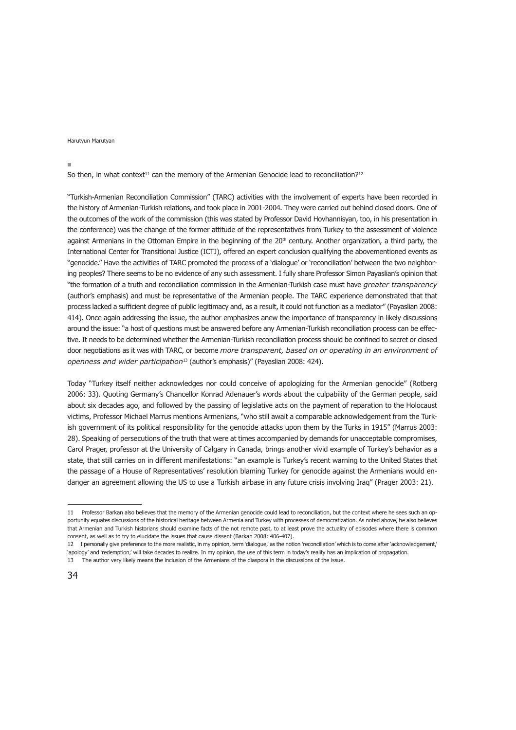#### $\sim$

So then, in what context<sup>11</sup> can the memory of the Armenian Genocide lead to reconciliation?<sup>12</sup>

"Turkish-Armenian Reconciliation Commission" (TARC) activities with the involvement of experts have been recorded in the history of Armenian-Turkish relations, and took place in 2001-2004. They were carried out behind closed doors. One of the outcomes of the work of the commission (this was stated by Professor David Hovhannisyan, too, in his presentation in the conference) was the change of the former attitude of the representatives from Turkey to the assessment of violence against Armenians in the Ottoman Empire in the beginning of the 20<sup>th</sup> century. Another organization, a third party, the International Center for Transitional Justice (ICTJ), offered an expert conclusion qualifying the abovementioned events as "genocide." Have the activities of TARC promoted the process of a 'dialogue' or 'reconciliation' between the two neighboring peoples? There seems to be no evidence of any such assessment. I fully share Professor Simon Payaslian's opinion that "the formation of a truth and reconciliation commission in the Armenian-Turkish case must have *greater transparency* (author's emphasis) and must be representative of the Armenian people. The TARC experience demonstrated that that process lacked a sufficient degree of public legitimacy and, as a result, it could not function as a mediator" (Payaslian 2008: 414). Once again addressing the issue, the author emphasizes anew the importance of transparency in likely discussions around the issue: "a host of questions must be answered before any Armenian-Turkish reconciliation process can be effective. It needs to be determined whether the Armenian-Turkish reconciliation process should be confined to secret or closed door negotiations as it was with TARC, or become *more transparent, based on or operating in an environment of openness and wider participation*13 (author's emphasis)" (Payaslian 2008: 424).

Today "Turkey itself neither acknowledges nor could conceive of apologizing for the Armenian genocide" (Rotberg 2006: 33). Quoting Germany's Chancellor Konrad Adenauer's words about the culpability of the German people, said about six decades ago, and followed by the passing of legislative acts on the payment of reparation to the Holocaust victims, Professor Michael Marrus mentions Armenians, "who still await a comparable acknowledgement from the Turkish government of its political responsibility for the genocide attacks upon them by the Turks in 1915" (Marrus 2003: 28). Speaking of persecutions of the truth that were at times accompanied by demands for unacceptable compromises, Carol Prager, professor at the University of Calgary in Canada, brings another vivid example of Turkey's behavior as a state, that still carries on in different manifestations: "an example is Turkey's recent warning to the United States that the passage of a House of Representatives' resolution blaming Turkey for genocide against the Armenians would endanger an agreement allowing the US to use a Turkish airbase in any future crisis involving Iraq" (Prager 2003: 21).

<sup>11</sup> Professor Barkan also believes that the memory of the Armenian genocide could lead to reconciliation, but the context where he sees such an opportunity equates discussions of the historical heritage between Armenia and Turkey with processes of democratization. As noted above, he also believes that Armenian and Turkish historians should examine facts of the not remote past, to at least prove the actuality of episodes where there is common consent, as well as to try to elucidate the issues that cause dissent (Barkan 2008: 406-407).

<sup>12</sup> I personally give preference to the more realistic, in my opinion, term 'dialogue,' as the notion 'reconciliation' which is to come after 'acknowledgement,' 'apology' and 'redemption,' will take decades to realize. In my opinion, the use of this term in today's reality has an implication of propagation.

<sup>13</sup> The author very likely means the inclusion of the Armenians of the diaspora in the discussions of the issue.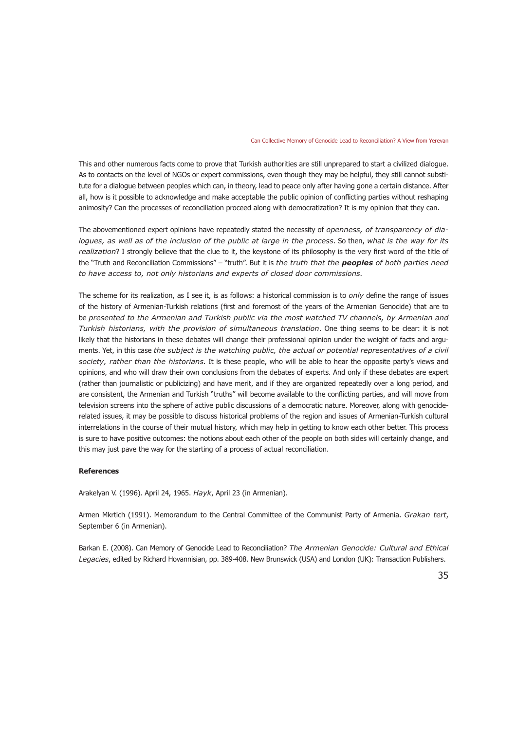This and other numerous facts come to prove that Turkish authorities are still unprepared to start a civilized dialogue. As to contacts on the level of NGOs or expert commissions, even though they may be helpful, they still cannot substitute for a dialogue between peoples which can, in theory, lead to peace only after having gone a certain distance. After all, how is it possible to acknowledge and make acceptable the public opinion of conflicting parties without reshaping animosity? Can the processes of reconciliation proceed along with democratization? It is my opinion that they can.

The abovementioned expert opinions have repeatedly stated the necessity of *openness, of transparency of dialogues, as well as of the inclusion of the public at large in the process*. So then, *what is the way for its realization*? I strongly believe that the clue to it, the keystone of its philosophy is the very first word of the title of the "Truth and Reconciliation Commissions" – "truth". But it is *the truth that the peoples of both parties need to have access to, not only historians and experts of closed door commissions*.

The scheme for its realization, as I see it, is as follows: a historical commission is to *only* define the range of issues of the history of Armenian-Turkish relations (first and foremost of the years of the Armenian Genocide) that are to be *presented to the Armenian and Turkish public via the most watched TV channels, by Armenian and Turkish historians, with the provision of simultaneous translation*. One thing seems to be clear: it is not likely that the historians in these debates will change their professional opinion under the weight of facts and arguments. Yet, in this case *the subject is the watching public, the actual or potential representatives of a civil society, rather than the historians*. It is these people, who will be able to hear the opposite party's views and opinions, and who will draw their own conclusions from the debates of experts. And only if these debates are expert (rather than journalistic or publicizing) and have merit, and if they are organized repeatedly over a long period, and are consistent, the Armenian and Turkish "truths" will become available to the conflicting parties, and will move from television screens into the sphere of active public discussions of a democratic nature. Moreover, along with genociderelated issues, it may be possible to discuss historical problems of the region and issues of Armenian-Turkish cultural interrelations in the course of their mutual history, which may help in getting to know each other better. This process is sure to have positive outcomes: the notions about each other of the people on both sides will certainly change, and this may just pave the way for the starting of a process of actual reconciliation.

#### **References**

Arakelyan V. (1996). April 24, 1965. *Hayk*, April 23 (in Armenian).

Armen Mkrtich (1991). Memorandum to the Central Committee of the Communist Party of Armenia. *Grakan tert*, September 6 (in Armenian).

Barkan E. (2008). Can Memory of Genocide Lead to Reconciliation? *The Armenian Genocide: Cultural and Ethical Legacies*, edited by Richard Hovannisian, pp. 389-408. New Brunswick (USA) and London (UK): Transaction Publishers.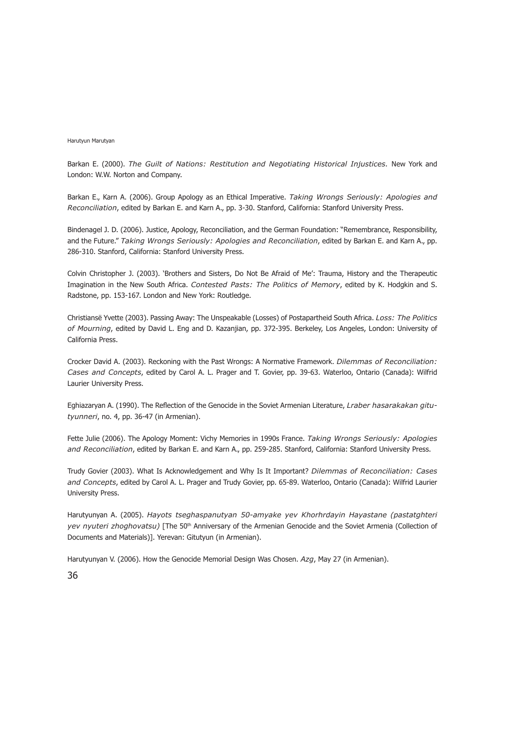Barkan E. (2000). *The Guilt of Nations: Restitution and Negotiating Historical Injustices.* New York and London: W.W. Norton and Company.

Barkan E., Karn A. (2006). Group Apology as an Ethical Imperative. *Taking Wrongs Seriously: Apologies and Reconciliation*, edited by Barkan E. and Karn A., pp. 3-30. Stanford, California: Stanford University Press.

Bindenagel J. D. (2006). Justice, Apology, Reconciliation, and the German Foundation: "Remembrance, Responsibility, and the Future." *Taking Wrongs Seriously: Apologies and Reconciliation*, edited by Barkan E. and Karn A., pp. 286-310. Stanford, California: Stanford University Press.

Colvin Christopher J. (2003). 'Brothers and Sisters, Do Not Be Afraid of Me': Trauma, History and the Therapeutic Imagination in the New South Africa. *Contested Pasts: The Politics of Memory*, edited by K. Hodgkin and S. Radstone, pp. 153-167. London and New York: Routledge.

Christiansë Yvette (2003). Passing Away: The Unspeakable (Losses) of Postapartheid South Africa. *Loss: The Politics of Mourning*, edited by David L. Eng and D. Kazanjian, pp. 372-395. Berkeley, Los Angeles, London: University of California Press.

Crocker David A. (2003). Reckoning with the Past Wrongs: A Normative Framework. *Dilemmas of Reconciliation: Cases and Concepts*, edited by Carol A. L. Prager and T. Govier, pp. 39-63. Waterloo, Ontario (Canada): Wilfrid Laurier University Press.

Eghiazaryan A. (1990). The Reflection of the Genocide in the Soviet Armenian Literature, *Lraber hasarakakan gitutyunneri*, no. 4, pp. 36-47 (in Armenian).

Fette Julie (2006). The Apology Moment: Vichy Memories in 1990s France. *Taking Wrongs Seriously: Apologies and Reconciliation*, edited by Barkan E. and Karn A., pp. 259-285. Stanford, California: Stanford University Press.

Trudy Govier (2003). What Is Acknowledgement and Why Is It Important? *Dilemmas of Reconciliation: Cases and Concepts*, edited by Carol A. L. Prager and Trudy Govier, pp. 65-89. Waterloo, Ontario (Canada): Wilfrid Laurier University Press.

Harutyunyan A. (2005). *Hayots tseghaspanutyan 50-amyake yev Khorhrdayin Hayastane (pastatghteri yev nyuteri zhoghovatsu*) [The 50<sup>th</sup> Anniversary of the Armenian Genocide and the Soviet Armenia (Collection of Documents and Materials)]. Yerevan: Gitutyun (in Armenian).

Harutyunyan V. (2006). How the Genocide Memorial Design Was Chosen. *Azg*, May 27 (in Armenian).

36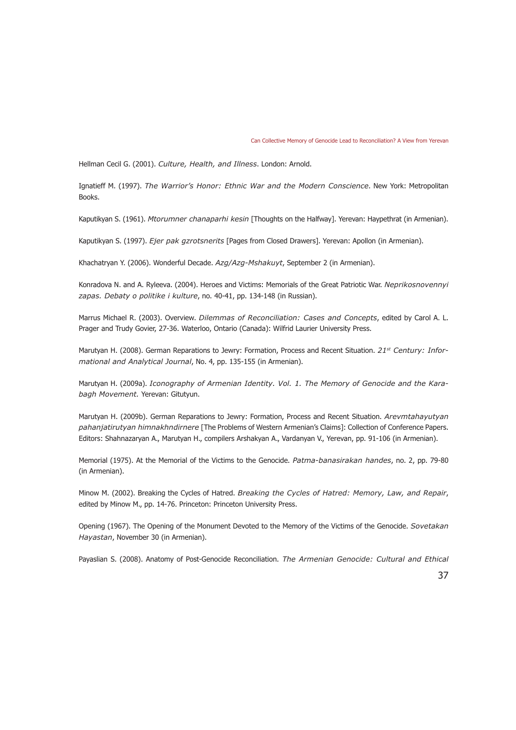Hellman Cecil G. (2001). *Culture, Health, and Illness*. London: Arnold.

Ignatieff M. (1997). *The Warrior's Honor: Ethnic War and the Modern Conscience*. New York: Metropolitan Books.

Kaputikyan S. (1961). *Mtorumner chanaparhi kesin* [Thoughts on the Halfway]. Yerevan: Haypethrat (in Armenian).

Kaputikyan S. (1997). *Ejer pak gzrotsnerits* [Pages from Closed Drawers]. Yerevan: Apollon (in Armenian).

Khachatryan Y. (2006). Wonderful Decade. *Azg/Azg-Mshakuyt*, September 2 (in Armenian).

Konradova N. and A. Ryleeva. (2004). Heroes and Victims: Memorials of the Great Patriotic War. *Neprikosnovennyi zapas. Debaty o politike i kulture*, no. 40-41, pp. 134-148 (in Russian).

Marrus Michael R. (2003). Overview. *Dilemmas of Reconciliation: Cases and Concepts*, edited by Carol A. L. Prager and Trudy Govier, 27-36. Waterloo, Ontario (Canada): Wilfrid Laurier University Press.

Marutyan H. (2008). German Reparations to Jewry: Formation, Process and Recent Situation. *21st Century: Informational and Analytical Journal*, No. 4, pp. 135-155 (in Armenian).

Marutyan H. (2009a). *Iconography of Armenian Identity. Vol. 1. The Memory of Genocide and the Karabagh Movement.* Yerevan: Gitutyun.

Marutyan H. (2009b). German Reparations to Jewry: Formation, Process and Recent Situation. *Arevmtahayutyan pahanjatirutyan himnakhndirnere* [The Problems of Western Armenian's Claims]: Collection of Conference Papers. Editors: Shahnazaryan A., Marutyan H., compilers Arshakyan A., Vardanyan V., Yerevan, pp. 91-106 (in Armenian).

Memorial (1975). At the Memorial of the Victims to the Genocide. *Patma-banasirakan handes*, no. 2, pp. 79-80 (in Armenian).

Minow M. (2002). Breaking the Cycles of Hatred. *Breaking the Cycles of Hatred: Memory, Law, and Repair*, edited by Minow M., pp. 14-76. Princeton: Princeton University Press.

Opening (1967). The Opening of the Monument Devoted to the Memory of the Victims of the Genocide. *Sovetakan Hayastan*, November 30 (in Armenian).

Payaslian S. (2008). Anatomy of Post-Genocide Reconciliation. *The Armenian Genocide: Cultural and Ethical* 

37